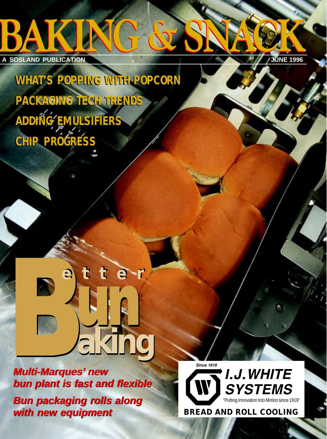## **A SOSLAND PUBLICATION JUNE 1996**

**WHAT'S POPPING WITH POPCORN WHAT'S POPPING WITH POPCORN PACKAGING TECH TRENDS PACKAGING TECH TRENDS ADDING EMULSIFIERS ADDING EMULSIFIERS CHIP PROGRESS CHIP PROGRESS**

## Bun **aking** und all **aking etter etter**

**Multi-Marques' new Multi-Marques' new<br>bun plant is fast and flexible Bun packaging rolls along Bun packaging rolls along with new equipment with new equipment**

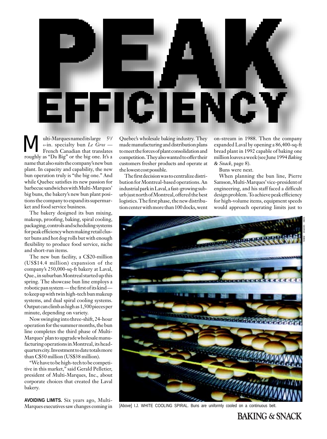

roughly as "Da Big" or the big one. It's a name that also suits the company's new bun plant. In capacity and capability, the new bun operation truly is "the big one." And while Quebec satisfies its new passion for barbecue sandwiches with Multi-Marques' big buns, the bakery's new bun plant positions the company to expand its supermarket and food service business. Wilti-Marques named its large 51/<br>
+-in. specialty bun Le Gros —<br>
French Canadian that translates 4-in. specialty bun *Le Gros* — French Canadian that translates

The bakery designed its bun mixing, makeup, proofing, baking, spiral cooling, packaging, controls and scheduling systems for peak efficiency when making retail cluster buns and hot dog rolls but with enough flexibility to produce food service, niche and short-run items.

The new bun facility, a C\$20-million (US\$14.4 million) expansion of the company's 250,000-sq-ft bakery at Laval, Que., in suburban Montreal started up this spring. The showcase bun line employs a robotic pan system — the first of its kind to keep up with twin high-tech bun makeup systems, and dual spiral cooling systems. Output can climb as high as 1,500 pieces per minute, depending on variety.

Now swinging into three-shift, 24-hour operation for the summer months, the bun line completes the third phase of Multi-Marques' plan to upgrade wholesale manufacturing operations in Montreal, its headquarters city. Investment to date totals more than C\$50 million (US\$38 million).

"We have to be high-tech to be competitive in this market," said Gerald Pelletier, president of Multi-Marques, Inc., about corporate choices that created the Laval bakery.

**AVOIDING LIMITS.** Six years ago, Multi-Marques executives saw changes coming in Quebec's wholesale baking industry. They made manufacturing and distribution plans to meet the forces of plant consolidation and competition. They also wanted to offer their customers fresher products and operate at the lowest cost possible.

The first decision was to centralize distribution for Montreal-based operations. An industrial park in Laval, a fast-growing suburb just north of Montreal, offered the best logistics. The first phase, the new distribution center with more than 100 docks, went on-stream in 1988. Then the company expanded Laval by opening a 86,400-sq-ft bread plant in 1992 capable of baking one million loaves a week (see June 1994 *Baking & Snack*, page 8).

Buns were next.

When planning the bun line, Pierre Samson, Multi-Marques' vice-president of engineering, and his staff faced a difficult design problem. To achieve peak efficiency for high-volume items, equipment speeds would approach operating limits just to



[Above] I.J. WHITE COOLING SPIRAL. Buns are uniformly cooled on a continuous belt.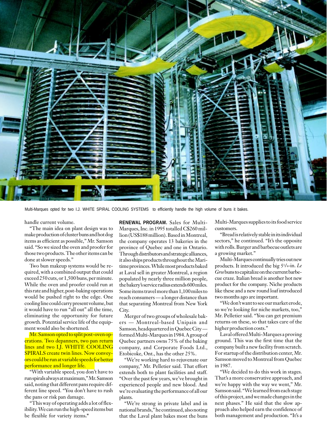

Multi-Marques opted for two I.J. WHITE SPIRAL COOLING SYSTEMS to efficiently handle the high volume of buns it bakes.

handle current volume.

"The main idea on plant design was to make production of cluster buns and hot dog items as efficient as possible," Mr. Samson said. "So we sized the oven and proofer for those two products. The other items can be done at slower speeds."

Two bun makeup systems would be required, with a combined output that could exceed 250 cuts, or 1,500 buns, per minute. While the oven and proofer could run at this rate and higher, post-baking operations would be pushed right to the edge. One cooling line could carry present volume, but it would have to run "all out" all the time, eliminating the opportunity for future growth. Potential service life of the equipment would also be shortened.

Mr. Samson opted to split post-oven operations. Two depanners, two pan return lines and two I.I. WHITE COOLING SPIRALS create twin lines. Now conveyors could be run at variable speeds for better performance and longer life.

"With variable speed, you don't have to run spirals always at maximum," Mr. Samson said, noting that different pans require different line speed. "You don't have to rush the pans or risk pan damage.

"This way of operating adds a lot of flexibility. We can run the high-speed items but be flexible for variety items**."**

**RENEWAL PROGRAM.** Sales for Multi-Marques, Inc. in 1995 totalled C\$260 million (US\$188 million). Based in Montreal, the company operates 13 bakeries in the province of Quebec and one in Ontario. Through distributors and strategic alliances, it also ships products throughout the Maritime provinces. While most products baked at Laval sell in greater Montreal, a region populated by nearly three million people, the bakery's service radius extends 600 miles. Some items travel more than 1,100 miles to reach consumers — a longer distance than that separating Montreal from New York City.

Merger of two groups of wholesale bakers — Montreal-based Unipain and Samson, headquartered in Quebec City formed Multi-Marques in 1984. A group of Quebec partners owns 75% of the baking company, and Corporate Foods Ltd., Etobicoke, Ont., has the other 25%.

"We're working hard to rejuvenate our company," Mr. Pelletier said. That effort extends both to plant facilities and staff. "Over the past few years, we've brought in experienced people and new blood. And we're evaluating the performance of all our plants.

"We're strong in private label and in national brands," he continued, also noting that the Laval plant bakes most the buns Multi-Marques supplies to its food service customers.

"Bread is relatively stable in its individual sectors," he continued. "It's the opposite with rolls. Burger and barbecue outlets are a growing market."

Multi-Marques continually tries out new products. It introduced the big 51/4-in. *Le Gros* buns to capitalize on the current barbecue craze. Italian bread is another hot new product for the company. Niche products like these and a new round loaf introduced two months ago are important.

"We don't want to see our market erode, so we're looking for niche markets, too," Mr. Pelletier said. "You can get premium returns on these, so that takes care of the higher production costs."

Laval offered Multi-Marques a proving ground. This was the first time that the company built a new facility from scratch. For startup of the distribution center, Mr. Samson moved to Montreal from Quebec in 1987.

"We decided to do this work in stages. That's a more conservative approach, and we're happy with the way we went," Mr. Samson said. "We learned from each stage of this project, and we made changes in the next phases." He said that the slow approach also helped earn the confidence of both management and production. "It's a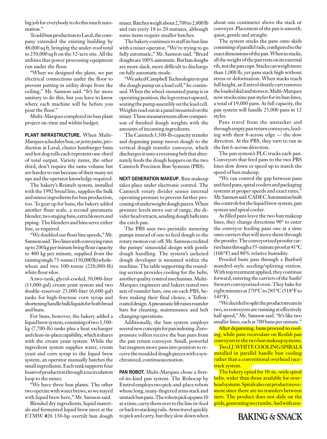big job for everybody to do this much automation."

To add bun production to Laval, the company extended the existing building by 48,000 sq ft, bringing the under-roof total to 250,000 sq ft on the 32-acre site. All the utilities that power processing equipment run under the floor.

"When we designed the plant, we put electrical connections under the floor to prevent putting in utility drops from the ceiling," Mr. Samson said. "It's far more sanitary to do this, but you have to know where each machine will be before you pour the floor."

Multi-Marques completed its bun plant project on-time and within budget.

**PLANT INFRASTRUCTURE.** When Multi-Marques schedules bun, or *petits pains*, production at Laval, cluster hamburger buns and hot dog rolls each represent one-third of total output. Variety items, the other third, don't require the same volume but are harder to run because of their many set ups and the operator knowledge required.

The bakery's Reimelt system, installed with the 1992 bread line, supplies the bulk and minor ingredients for bun production, too. To gear up for buns, the bakery added another flour scale, a second pneumatic blender, two staging bins, extra blowers and piping. The blenders and bins serve either line, as required.

"We doubled our flour line speeds," Mr. Samson said. Two lines with conveying rates up to 200 kg per minute bring flour capacity to 400 kg per minute, supplied from the existing single 75-tonne (150,000lb) wholewheat and two 100-tonne (220,000-lb) white flour silos.

A two-tank, glycol-cooled, 50,000-liter (13,000-gal) cream yeast system and two double-reservoir 25,000-liter (6,600-gal) tanks for high-fructose corn syrup and shortening handle bulk liquids for both bread and buns.

For buns, however, the bakery added a liquid brew system, consisting of two 3,500 kg (7,700-lb) tanks plus a heat exchanger and clean-in-place capability, which it shares with the cream yeast system. While the ingredient system supplies water, cream yeast and corn syrup to the liquid brew system, an operator manually batches the small ingredients. Each tank supports four hours of production through a recirculation loop to the mixer.

"We have three bun plants. The other two operate with water brews, so we stayed with liquid brew here," Mr. Samson said.

Blended dry ingredients, liquid materials and fermented liquid brew meet at the ETMW #26 150-hp overtilt bun dough mixer. Batches weigh about 2,700 to 2,800 lb and run every 18 to 20 minutes, although some items require smaller batches.

The bakery continues to staff its bun line with a mixer operator. "We're trying to go fully automatic," Mr. Samson said. "Bread doughs are 100% automatic. But bun doughs are more slack, more difficult to discharge on fully automatic mode.

"We asked Campbell Technologies to put the dough pump on a load cell," he continued. When the wheel-mounted pump is in operating position, the legs retract upward, seating the pump assembly on the load cell. Weights read out in a panel mounted on the mixer. These measurements allow comparison of finished dough weights with the amounts of incoming ingredients.

The Camtech 3,500-lb-capacity transfer and degassing pump moves dough to the vertical dough transfer conveyor, which discharges it onto a reversing belt that alternately feeds the dough hoppers on the two Camtech Precision Bun Systems (PBS).

**NEXT GENERATION MAKEUP.** Bun makeup takes place under electronic control. The Camtech rotary divider senses internal operating pressure to prevent further processing of underweight dough pieces. When pressure levels move out of range, the divider head retracts, sending dough balls into the catch pan.

The PBS uses two peristalic metering pumps instead of one to feed dough to the rotary motion cut-off. Mr. Samson credited the pumps' sinusoidal design with gentle dough handling. The system's jacketed dough developer is mounted within the machine. The table supporting the rounding section provides cooling for the belts, another quality control mechanism. Multi-Marques engineers and bakers tested two sets of rounder bars, one on each PBS, before making their final choice, a Tefloncoated design. A pneumatic lift raises rounder bars for cleaning, maintenance and belt changing operations.

Additionally, the bun system employs several new concepts for pan indexing. Zeropressure rollers receive the bun pans from the pan return conveyor. Small, powerful bar magnets move pans into position to receive the moulded dough pieces with a synchronized, continuous motion.

**PAN ROBOT.** Multi-Marques chose a firstof-its-kind pan system. The Robocap by Emtrol employs two pick-and-place robots whose long, many-fingered arms stack and unstack bun pans. The robots pick up pans 10 at a time, carry them over to the line in-feed or back to stacking rails. Arms travel quickly to pick and carry, but they slow down when

about one centimeter above the stack or conveyor. Placement of the pan is smooth, quiet, gentle and straight.

The system stacks the pans onto skids consisting of parallel rails, configured to the exact dimensions of the pan. When in stacks, all the weight of the pan rests on its external rib, not the pan cups. Stacks can weigh more than 1,000 lb, yet pans stack high without stress or deformation. When stacks reach full height, an Emtrol shuttle cart removes the loaded skid and stores it. Multi-Marques now stocks nine pan styles for its bun lines, a total of 19,000 pans. At full capacity, the pan system will handle 25,000 pans in 12 styles.

Pans travel from the unstacker and through empty pan return conveyors, leading with their 8-across edge — the slow direction. At the PBS, they turn to run in the fast 6-across direction.

The pan system's PLC tracks each pan. Conveyors that feed pans to the two PBS lines slow down or speed up to match the speed of bun makeup.

"We can control the gap between pans and feed pans, spiral coolers and packaging systems at proper speeds and exact rates," Mr. Samson said. CADEC Automation built the controls for the liquid brew system, pan system and spiral cooler.

As filled pans leave the two bun makeup lines, they change directions 90° to enter the conveyor feeding pans one at a time onto carriers that will move them through the proofer. The conveyorized proofer carries buns through a 55-minute proof at 41°C (106°F) and 80% relative humidity.

Proofed buns pass through a Burford mandrel-style seeding/splitting station. With top treatment applied, they continue forward, entering the carriers of the Sasib/ Stewart conveyorized oven. They bake for eight minutes at 270°C to 285°C (518°F to 545°F).

"We decided to split the product stream in two, so conveyors are running at effectively half speed," Mr. Samson said. "It's like two smaller lines, each at 700 buns per minute."

After depanning, buns proceed to cooling, while pans recirculate on Rexfab pan conveyors to the two bun makeup systems. Two I.J. WHITE COOLING SPIRALS installed in parallel handle bun cooling rather than a conventional overhead racetrack system.

The bakery opted for 30-in.-wide spiral belts, wider than those available for overhead systems. Spirals also cut product movement since there are no transfers between tiers. The product does not slide on the grids, generating no crumbs. And with cen-

**BAKING & SNACK**